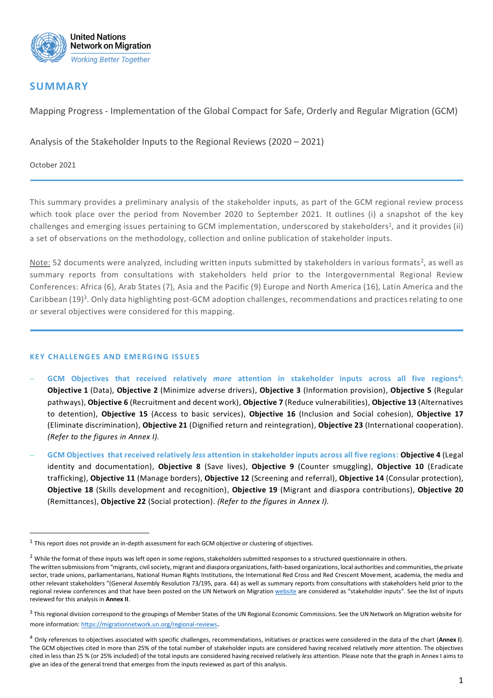

# **SUMMARY**

Mapping Progress - Implementation of the Global Compact for Safe, Orderly and Regular Migration (GCM)

Analysis of the Stakeholder Inputs to the Regional Reviews (2020 – 2021)

October 2021

This summary provides a preliminary analysis of the stakeholder inputs, as part of the GCM regional review process which took place over the period from November 2020 to September 2021. It outlines (i) a snapshot of the key challenges and emerging issues pertaining to GCM implementation, underscored by stakeholders<sup>1</sup>, and it provides (ii) a set of observations on the methodology, collection and online publication of stakeholder inputs.

Note: 52 documents were analyzed, including written inputs submitted by stakeholders in various formats<sup>2</sup>, as well as summary reports from consultations with stakeholders held prior to the Intergovernmental Regional Review Conferences: Africa (6), Arab States (7), Asia and the Pacific (9) Europe and North America (16), Latin America and the Caribbean (19)<sup>3</sup>. Only data highlighting post-GCM adoption challenges, recommendations and practices relating to one or several objectives were considered for this mapping.

# **KEY CHALLENGES AND EMERGING ISSUES**

- − **GCM Objectives that received relatively** *more* **attention in stakeholder inputs across all five regions<sup>4</sup> : Objective 1** (Data), **Objective 2** (Minimize adverse drivers), **Objective 3** (Information provision), **Objective 5** (Regular pathways), **Objective 6** (Recruitment and decent work), **Objective 7** (Reduce vulnerabilities), **Objective 13** (Alternatives to detention), **Objective 15** (Access to basic services), **Objective 16** (Inclusion and Social cohesion), **Objective 17** (Eliminate discrimination), **Objective 21** (Dignified return and reintegration), **Objective 23** (International cooperation). *(Refer to the figures in Annex I).*
- − **GCM Objectives that received relatively** *less* **attention in stakeholder inputs across all five regions: Objective 4** (Legal identity and documentation), **Objective 8** (Save lives), **Objective 9** (Counter smuggling), **Objective 10** (Eradicate trafficking), **Objective 11** (Manage borders), **Objective 12** (Screening and referral), **Objective 14** (Consular protection), **Objective 18** (Skills development and recognition), **Objective 19** (Migrant and diaspora contributions), **Objective 20** (Remittances), **Objective 22** (Social protection). *(Refer to the figures in Annex I).*

 $^1$  This report does not provide an in-depth assessment for each GCM objective or clustering of objectives.

<sup>&</sup>lt;sup>2</sup> While the format of these inputs was left open in some regions, stakeholders submitted responses to a structured questionnaire in others.

The written submissions from "migrants, civil society, migrant and diaspora organizations, faith-based organizations, local authorities and communities, the private sector, trade unions, parliamentarians, National Human Rights Institutions, the International Red Cross and Red Crescent Movement, academia, the media and other relevant stakeholders "(General Assembly Resolution 73/195, para. 44) as well as summary reports from consultations with stakeholders held prior to the regional review conferences and that have been posted on the UN Network on Migratio[n website](https://migrationnetwork.un.org/global-compact-migration-follow-and-review) are considered as "stakeholder inputs". See the list of inputs reviewed for this analysis in **Annex II**.

 $^3$  This regional division correspond to the groupings of Member States of the UN Regional Economic Commissions. See the UN Network on Migration website for more information[: https://migrationnetwork.un.org/regional-reviews](https://migrationnetwork.un.org/regional-reviews).

<sup>4</sup> Only references to objectives associated with specific challenges, recommendations, initiatives or practices were considered in the data of the chart (**Annex I**). The GCM objectives cited in more than 25% of the total number of stakeholder inputs are considered having received relatively *more* attention. The objectives cited in less than 25 % (or 25% included) of the total inputs are considered having received relatively *less* attention. Please note that the graph in Annex I aims to give an idea of the general trend that emerges from the inputs reviewed as part of this analysis.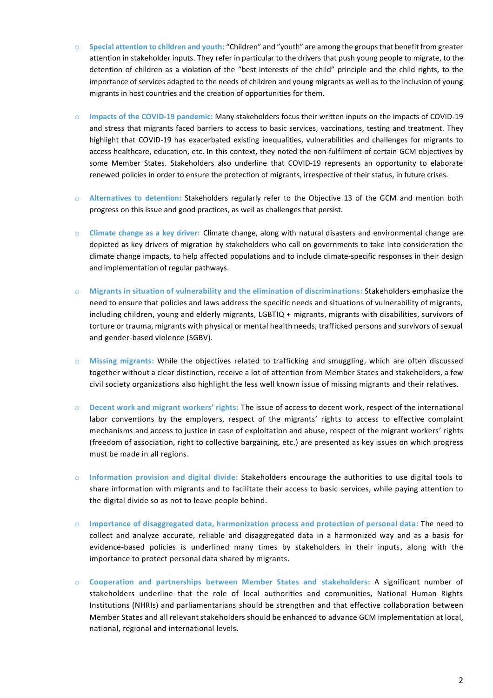- o **Special attention to children and youth:** "Children" and "youth" are among the groups that benefit from greater attention in stakeholder inputs. They refer in particular to the drivers that push young people to migrate, to the detention of children as a violation of the "best interests of the child" principle and the child rights, to the importance of services adapted to the needs of children and young migrants as well as to the inclusion of young migrants in host countries and the creation of opportunities for them.
- o **Impacts of the COVID-19 pandemic:** Many stakeholders focus their written inputs on the impacts of COVID-19 and stress that migrants faced barriers to access to basic services, vaccinations, testing and treatment. They highlight that COVID-19 has exacerbated existing inequalities, vulnerabilities and challenges for migrants to access healthcare, education, etc. In this context, they noted the non-fulfilment of certain GCM objectives by some Member States. Stakeholders also underline that COVID-19 represents an opportunity to elaborate renewed policies in order to ensure the protection of migrants, irrespective of their status, in future crises.
- o **Alternatives to detention:** Stakeholders regularly refer to the Objective 13 of the GCM and mention both progress on this issue and good practices, as well as challenges that persist.
- o **Climate change as a key driver:** Climate change, along with natural disasters and environmental change are depicted as key drivers of migration by stakeholders who call on governments to take into consideration the climate change impacts, to help affected populations and to include climate-specific responses in their design and implementation of regular pathways.
- o **Migrants in situation of vulnerability and the elimination of discriminations:** Stakeholders emphasize the need to ensure that policies and laws address the specific needs and situations of vulnerability of migrants, including children, young and elderly migrants, LGBTIQ + migrants, migrants with disabilities, survivors of torture or trauma, migrants with physical or mental health needs, trafficked persons and survivors of sexual and gender-based violence (SGBV).
- o **Missing migrants:** While the objectives related to trafficking and smuggling, which are often discussed together without a clear distinction, receive a lot of attention from Member States and stakeholders, a few civil society organizations also highlight the less well known issue of missing migrants and their relatives.
- o **Decent work and migrant workers' rights:** The issue of access to decent work, respect of the international labor conventions by the employers, respect of the migrants' rights to access to effective complaint mechanisms and access to justice in case of exploitation and abuse, respect of the migrant workers' rights (freedom of association, right to collective bargaining, etc.) are presented as key issues on which progress must be made in all regions.
- o **Information provision and digital divide:** Stakeholders encourage the authorities to use digital tools to share information with migrants and to facilitate their access to basic services, while paying attention to the digital divide so as not to leave people behind.
- o **Importance of disaggregated data, harmonization process and protection of personal data:** The need to collect and analyze accurate, reliable and disaggregated data in a harmonized way and as a basis for evidence-based policies is underlined many times by stakeholders in their inputs, along with the importance to protect personal data shared by migrants.
- o **Cooperation and partnerships between Member States and stakeholders:** A significant number of stakeholders underline that the role of local authorities and communities, National Human Rights Institutions (NHRIs) and parliamentarians should be strengthen and that effective collaboration between Member States and all relevant stakeholders should be enhanced to advance GCM implementation at local, national, regional and international levels.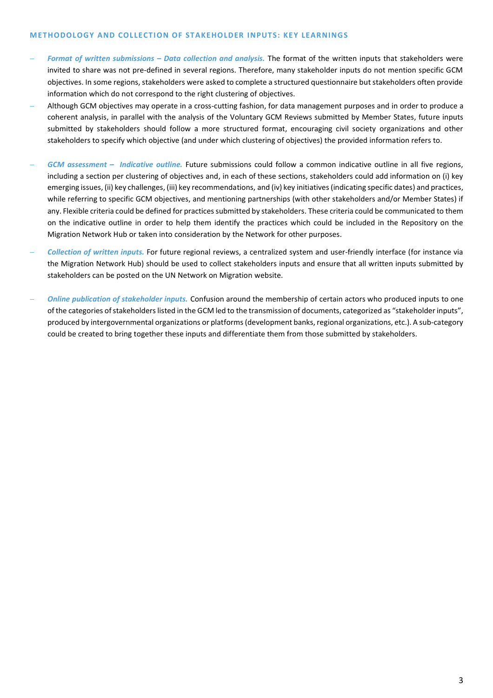## **METHODOLOGY AND COLLECTION OF STAKEHOLDER INPUTS: KEY LEARNINGS**

- − *Format of written submissions – Data collection and analysis.* The format of the written inputs that stakeholders were invited to share was not pre-defined in several regions. Therefore, many stakeholder inputs do not mention specific GCM objectives. In some regions, stakeholders were asked to complete a structured questionnaire but stakeholders often provide information which do not correspond to the right clustering of objectives.
- − Although GCM objectives may operate in a cross-cutting fashion, for data management purposes and in order to produce a coherent analysis, in parallel with the analysis of the Voluntary GCM Reviews submitted by Member States, future inputs submitted by stakeholders should follow a more structured format, encouraging civil society organizations and other stakeholders to specify which objective (and under which clustering of objectives) the provided information refers to.
- − *GCM assessment – Indicative outline.* Future submissions could follow a common indicative outline in all five regions, including a section per clustering of objectives and, in each of these sections, stakeholders could add information on (i) key emerging issues, (ii) key challenges, (iii) key recommendations, and (iv) key initiatives (indicating specific dates) and practices, while referring to specific GCM objectives, and mentioning partnerships (with other stakeholders and/or Member States) if any. Flexible criteria could be defined for practices submitted by stakeholders. These criteria could be communicated to them on the indicative outline in order to help them identify the practices which could be included in the Repository on the Migration Network Hub or taken into consideration by the Network for other purposes.
- − *Collection of written inputs.* For future regional reviews, a centralized system and user-friendly interface (for instance via the Migration Network Hub) should be used to collect stakeholders inputs and ensure that all written inputs submitted by stakeholders can be posted on the UN Network on Migration website.
- − *Online publication of stakeholder inputs.* Confusion around the membership of certain actors who produced inputs to one of the categories of stakeholders listed in the GCM led to the transmission of documents, categorized as "stakeholder inputs", produced by intergovernmental organizations or platforms (development banks, regional organizations, etc.). A sub-category could be created to bring together these inputs and differentiate them from those submitted by stakeholders.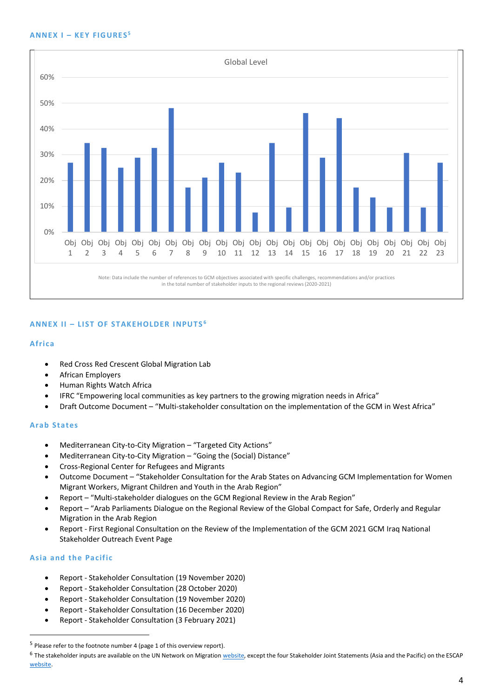#### **ANNEX I – KEY FIGURES <sup>5</sup>**



# **ANNEX II – LIST OF STAKEHOLDER INPUTS <sup>6</sup>**

#### **Africa**

- Red Cross Red Crescent Global Migration Lab
- African Employers
- Human Rights Watch Africa
- IFRC "Empowering local communities as key partners to the growing migration needs in Africa"
- Draft Outcome Document "Multi-stakeholder consultation on the implementation of the GCM in West Africa"

## **Arab States**

- Mediterranean City-to-City Migration "Targeted City Actions"
- Mediterranean City-to-City Migration "Going the (Social) Distance"
- Cross-Regional Center for Refugees and Migrants
- Outcome Document "Stakeholder Consultation for the Arab States on Advancing GCM Implementation for Women Migrant Workers, Migrant Children and Youth in the Arab Region"
- Report "Multi-stakeholder dialogues on the GCM Regional Review in the Arab Region"
- Report "Arab Parliaments Dialogue on the Regional Review of the Global Compact for Safe, Orderly and Regular Migration in the Arab Region
- Report First Regional Consultation on the Review of the Implementation of the GCM 2021 GCM Iraq National Stakeholder Outreach Event Page

#### **Asia and the Pacific**

- Report Stakeholder Consultation (19 November 2020)
- Report Stakeholder Consultation (28 October 2020)
- Report Stakeholder Consultation (19 November 2020)
- Report Stakeholder Consultation (16 December 2020)
- Report Stakeholder Consultation (3 February 2021)

<sup>6</sup> The stakeholder inputs are available on the UN Network on Migration <u>website</u>, except the four Stakeholder Joint Statements (Asia and the Pacific) on the ESCAP [website.](https://www.unescap.org/intergovernmental-meetings/asia-pacific-regional-review-implementation-global-compact-safe-orderly)

<sup>5</sup> Please refer to the footnote number 4 (page 1 of this overview report).